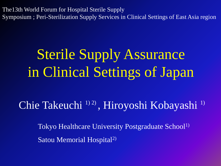The13th World Forum for Hospital Sterile Supply Symposium ; Peri-Sterilization Supply Services in Clinical Settings of East Asia region

# Sterile Supply Assurance in Clinical Settings of Japan

#### Chie Takeuchi<sup>1)2)</sup>, Hiroyoshi Kobayashi<sup>1)</sup>

Tokyo Healthcare University Postgraduate School<sup>1)</sup> Satou Memorial Hospital2)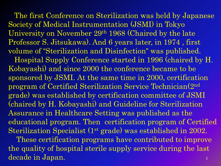The first Conference on Sterilization was held by Japanese Society of Medical Instrumentation (JSMI) in Tokyo University on November 29th 1968 (Chaired by the late Professor S. Jitsukawa). And 6 years later, in 1974 , first volume of "Sterilization and Disinfection" was published.

 Hospital Supply Conference started in 1996 (chaired by H. Kobayashi) and since 2000 the conference became to be sponsored by JSMI. At the same time in 2000, certification program of Certified Sterilization Service Technician(2nd grade) was established by certification committee of JSMI (chaired by H. Kobayashi) and Guideline for Sterilization Assurance in Healthcare Setting was published as the educational program. Then certification program of Certified Sterilization Specialist (1<sup>st</sup> grade) was established in 2002.

 $\mathcal{D}_{\alpha}$  These certification programs have contributed to improve the quality of hospital sterile supply service during the last decade in Japan.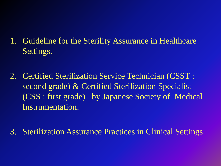#### 1. Guideline for the Sterility Assurance in Healthcare Settings.

- 2. Certified Sterilization Service Technician (CSST : second grade) & Certified Sterilization Specialist (CSS : first grade) by Japanese Society of Medical Instrumentation.
- 3. Sterilization Assurance Practices in Clinical Settings.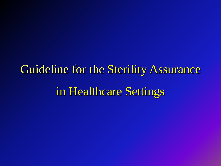Guideline for the Sterility Assurance in Healthcare Settings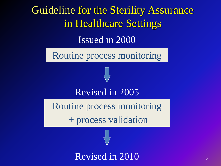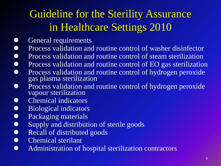#### Guideline for the Sterility Assurance in Healthcare Settings 2010

- General requirements
- Process validation and routine control of washer disinfector
- Process validation and routine control of steam sterilization
- Process validation and routine control of EO gas sterilization
- Process validation and routine control of hydrogen peroxide gas plasma sterilization
- Process validation and routine control of hydrogen peroxide vapour sterilization
- Chemical indicators
- Biological indicators
- Packaging materials
- Supply and distribution of sterile goods
- Recall of distributed goods
- Chemical sterilant
- **Administration of hospital sterilization contractors**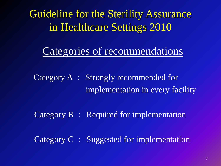Guideline for the Sterility Assurance in Healthcare Settings 2010

#### Categories of recommendations

 Category A : Strongly recommended for implementation in every facility

Category B : Required for implementation

Category C : Suggested for implementation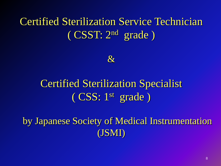#### Certified Sterilization Service Technician ( CSST: 2nd grade )



#### Certified Sterilization Specialist ( CSS: 1st grade )

 by Japanese Society of Medical Instrumentation (JSMI)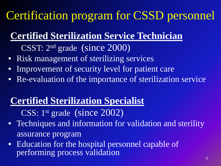### Certification program for CSSD personnel

#### **Certified Sterilization Service Technician**

- CSST: 2nd grade (since 2000)
- Risk management of sterilizing services
- Improvement of security level for patient care
- Re-evaluation of the importance of sterilization service

#### **Certified Sterilization Specialist**

CSS: 1st grade (since 2002)

- Techniques and information for validation and sterility assurance program
- Education for the hospital personnel capable of performing process validation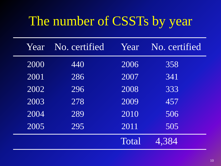### The number of CSSTs by year

| Year | No. certified | Year  | No. certified |
|------|---------------|-------|---------------|
| 2000 | 440           | 2006  | 358           |
| 2001 | 286           | 2007  | 341           |
| 2002 | 296           | 2008  | 333           |
| 2003 | 278           | 2009  | 457           |
| 2004 | 289           | 2010  | 506           |
| 2005 | 295           | 2011  | 505           |
|      |               | Total | 4.384         |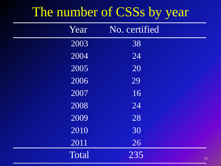#### The number of CSSs by year

| Year              | No. certified |
|-------------------|---------------|
| 2003              | 38            |
| $\overline{2004}$ | 24            |
| 2005              | 20            |
| 2006              | 29            |
| 2007              | 16            |
| 2008              | 24            |
| 2009              | 28            |
| 2010              | 30            |
| 2011              | 26            |
| Total             | 235<br>11     |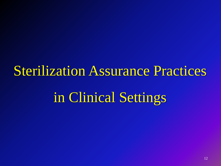Sterilization Assurance Practices

in Clinical Settings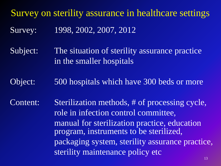Survey on sterility assurance in healthcare settings Survey: 1998, 2002, 2007, 2012

Subject: The situation of sterility assurance practice in the smaller hospitals

Object: 500 hospitals which have 300 beds or more

Content: Sterilization methods, # of processing cycle, role in infection control committee, manual for sterilization practice, education program, instruments to be sterilized, packaging system, sterility assurance practice, sterility maintenance policy etc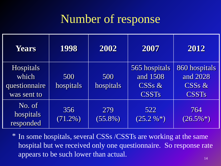#### Number of response

| Years                                                     | 1998              | 2002              | 2007                                                  | 2012                                                            |
|-----------------------------------------------------------|-------------------|-------------------|-------------------------------------------------------|-----------------------------------------------------------------|
| <b>Hospitals</b><br>which<br>questionnaire<br>was sent to | 500<br>hospitals  | 500<br>hospitals  | 565 hospitals<br>and 1508<br>$CSSs$ &<br><b>CSSTs</b> | 860 hospitals<br>and 2028<br>CSS <sub>s</sub> &<br><b>CSSTs</b> |
| No. of<br>hospitals<br>responded                          | 356<br>$(71.2\%)$ | 279<br>$(55.8\%)$ | 522<br>$(25.2\%*)$                                    | 764<br>$(26.5\%*)$                                              |

In some hospitals, several CSSs /CSSTs are working at the same \* hospital but we received only one questionnaire. So response rate appears to be such lower than actual.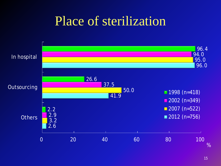### Place of sterilization

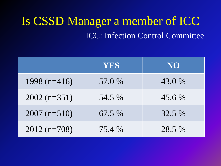#### Is CSSD Manager a member of ICC ICC: Infection Control Committee

|                | <b>YES</b> | NO       |
|----------------|------------|----------|
| 1998 $(n=416)$ | 57.0 %     | 43.0 %   |
| $2002$ (n=351) | 54.5 %     | $45.6\%$ |
| $2007$ (n=510) | 67.5 %     | 32.5 %   |
| $2012(n=708)$  | 75.4 %     | 28.5 %   |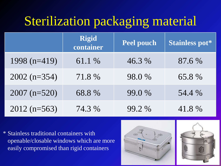### Sterilization packaging material

|                | <b>Rigid</b><br>container | <b>Peel pouch</b> | Stainless pot* |
|----------------|---------------------------|-------------------|----------------|
| 1998 $(n=419)$ | 61.1 %                    | 46.3 %            | 87.6 %         |
| $2002$ (n=354) | 71.8 %                    | 98.0 %            | 65.8 %         |
| $2007$ (n=520) | 68.8 %                    | 99.0 %            | 54.4 %         |
| $2012(n=563)$  | 74.3 %                    | 99.2 %            | 41.8%          |

\* Stainless traditional containers with openable/closable windows which are more easily compromised than rigid containers

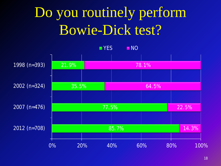# Do you routinely perform Bowie-Dick test?

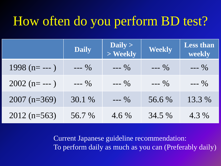### How often do you perform BD test?

|                  | <b>Daily</b> | Daily $>$<br>$>$ Weekly | <b>Weekly</b> | <b>Less than</b><br>weekly |
|------------------|--------------|-------------------------|---------------|----------------------------|
| $1998$ (n= --- ) | $--- 9/0$    | $--- 9/0$               | $--- 9/0$     | $--- 9/0$                  |
| $2002$ (n= --- ) | $--- 9/0$    | $--- 9/0$               | $--- 9/0$     | $--- 9/0$                  |
| $2007$ (n=369)   | 30.1 %       | $--- 9/0$               | 56.6 %        | 13.3 %                     |
| $2012(n=563)$    | 56.7 %       | $4.6\%$                 | 34.5 %        | 4.3 %                      |

Current Japanese guideline recommendation: To perform daily as much as you can (Preferably daily)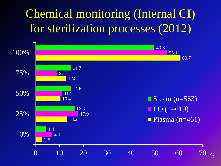### Chemical monitoring (Internal CI) for sterilization processes (2012)



 $\frac{0}{2}$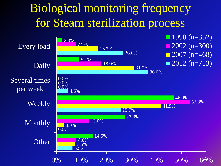#### Biological monitoring frequency for Steam sterilization process

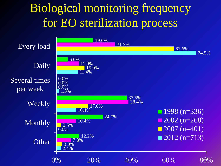#### Biological monitoring frequency for EO sterilization process

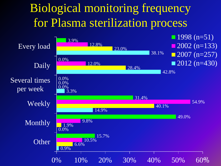#### Biological monitoring frequency for Plasma sterilization process

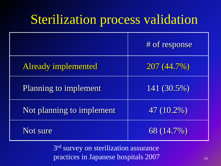### Sterilization process validation

|                            | # of response |
|----------------------------|---------------|
| <b>Already implemented</b> | 207 (44.7%)   |
| Planning to implement      | 141 (30.5%)   |
| Not planning to implement  | 47 (10.2%)    |
| Not sure                   | 68 (14.7%)    |

3rd survey on sterilization assurance practices in Japanese hospitals 2007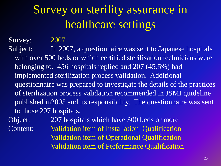### Survey on sterility assurance in healthcare settings

Survey: 2007

Subject: In 2007, a questionnaire was sent to Japanese hospitals with over 500 beds or which certified sterilisation technicians were belonging to. 456 hospitals replied and 207 (45.5%) had implemented sterilization process validation. Additional questionnaire was prepared to investigate the details of the practices of sterilization process validation recommended in JSMI guideline published in2005 and its responsibility. The questionnaire was sent to those 207 hospitals.

Object: 207 hospitals which have 300 beds or more Content: Validation item of Installation Qualification Validation item of Operational Qualification Validation item of Performance Qualification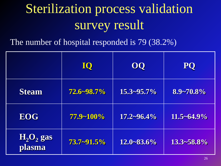# Sterilization process validation survey result

The number of hospital responded is 79 (38.2%)

|                                              | <b>IQ</b>  | 00              | <b>PQ</b>       |
|----------------------------------------------|------------|-----------------|-----------------|
| <b>Steam</b>                                 | 72.6~98.7% | $15.3 - 95.7\%$ | $8.9 - 70.8\%$  |
| <b>EOG</b>                                   | 77.9~100%  | $17.2 - 96.4\%$ | $11.5 - 64.9\%$ |
| $\mathbf{H}_{2}\mathbf{O}_{2}$ gas<br>plasma | 73.7~91.5% | $12.0 - 83.6\%$ | $13.3 - 58.8\%$ |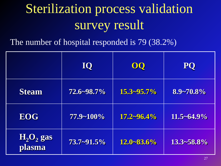# Sterilization process validation survey result

The number of hospital responded is 79 (38.2%)

|                        | <b>IQ</b>  | 00              | <b>PQ</b>       |
|------------------------|------------|-----------------|-----------------|
| <b>Steam</b>           | 72.6~98.7% | $15.3 - 95.7\%$ | 8.9~70.8%       |
| <b>EOG</b>             | 77.9~100%  | $17.2 - 96.4%$  | $11.5 - 64.9\%$ |
| $H_2O_2$ gas<br>plasma | 73.7~91.5% | $12.0 - 83.6\%$ | $13.3 - 58.8\%$ |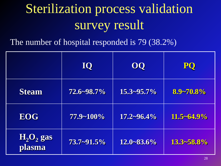# Sterilization process validation survey result

The number of hospital responded is 79 (38.2%)

|                                              | <b>IQ</b>       | OQ              | <b>PQ</b>       |
|----------------------------------------------|-----------------|-----------------|-----------------|
| <b>Steam</b>                                 | 72.6~98.7%      | $15.3 - 95.7\%$ | 8.9~70.8%       |
| <b>EOG</b>                                   | $77.9 - 100\%$  | $17.2 - 96.4\%$ | $11.5 - 64.9\%$ |
| $\mathbf{H}_{2}\mathbf{O}_{2}$ gas<br>plasma | $73.7 - 91.5\%$ | $12.0 - 83.6\%$ | $13.3 - 58.8\%$ |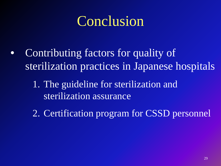# Conclusion

- Contributing factors for quality of sterilization practices in Japanese hospitals
	- 1. The guideline for sterilization and sterilization assurance
	- 2. Certification program for CSSD personnel